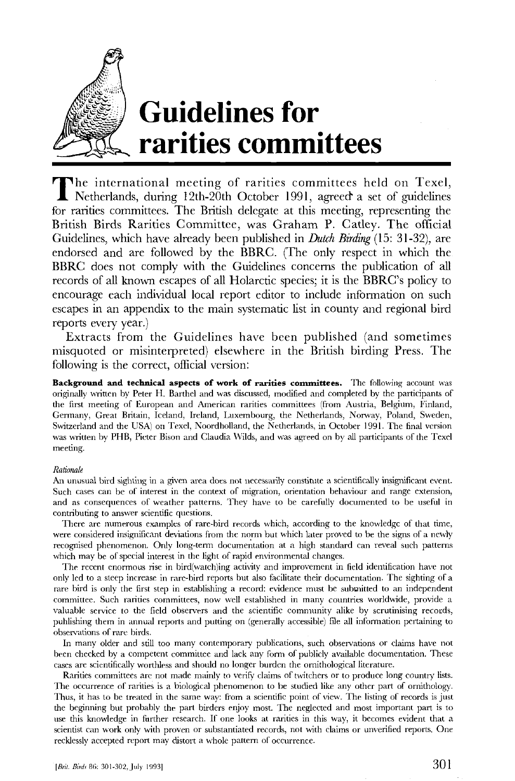

## **Guidelines for , rarities committees**

The international meeting of rarities committees held on Texel,<br>Netherlands, during 12th-20th October 1991, agreed a set of guidelines Netherlands, during 12th-20th October 1991, agreed a set of guidelines for rarities committees. The British delegate at this meeting, representing the British Birds Rarities Committee, was Graham P. Catley. The official Guidelines, which have already been published in *Dutch Birding* (15: 31-32), are endorsed and are followed by the BBRC. (The only respect in which the BBRC does not comply with the Guidelines concerns the publication of all records of all known escapes of all Holarctic species; it is the BBRC's policy to encourage each individual local report editor to include information on such escapes in an appendix to the main systematic list in county and regional bird reports every year.)

Extracts from the Guidelines have been published (and sometimes misquoted or misinterpreted) elsewhere in the British birding Press. The following is the correct, official version:

**Background and technical aspects of work of rarities committees.** The following account was originally written by Peter H. Barthel and was discussed, modified and completed by the participants of the first meeting of European and American rarities committees (from Austria, Belgium, Finland, Germany, Great Britain, Iceland, Ireland, Luxembourg, the Netherlands, Norway, Poland, Sweden, Switzerland and the USA) on Texel, Noordholland, the Netherlands, in October 1991. The final version was written by PHB, Pieter Bison and Claudia Wilds, and was agreed on by all participants of the Texel meeting.

## *Rationale*

An unusual bird sighting in a given area does not necessarily constitute a scientifically insignificant event. Such cases can be of interest in the context of migration, orientation behaviour and range extension, and as consequences of weather patterns. They have to be carefully documented to be useful in contributing to answer scientific questions.

There are numerous examples of rare-bird records which, according to the knowledge of that time, were considered insignificant deviations from the norm but which later proved to be the signs of a newly recognised phenomenon. Only long-term documentation at a high standard can reveal such patterns which may be of special interest in the light of rapid environmental changes.

The recent enormous rise in bird(watch)ing activity and improvement in field identification have not only led to a steep increase in rare-bird reports but also facilitate their documentation. The sighting of a rare bird is only the first step in establishing a record: evidence must be submitted to an independent committee. Such rarities committees, now well established in many countries worldwide, provide a valuable service to the field observers and the scientific community alike by scrutinising records, publishing them in annual reports and putting on (generally accessible) file all information pertaining to observations of rare birds.

In many older and still too many contemporary publications, such observations or claims have not been checked by a competent committee and lack any form of publicly available documentation. These cases are scientifically worthless and should no longer burden the ornithological literature.

Rarities committees are not made mainly to verify claims of twitchers or to produce long country lists. The occurrence of rarities is a biological phenomenon to be studied like any other part of ornithology. Thus, it has to be treated in the same way: from a scientific point of view. The listing of records is just the beginning but probably the part birders enjoy most. The neglected and most important part is to use this knowledge in further research. If one looks at rarities in this way, it becomes evident that a scientist can work only with proven or substantiated records, not with claims or unverified reports. One recklessly accepted report may distort a whole pattern of occurrence.